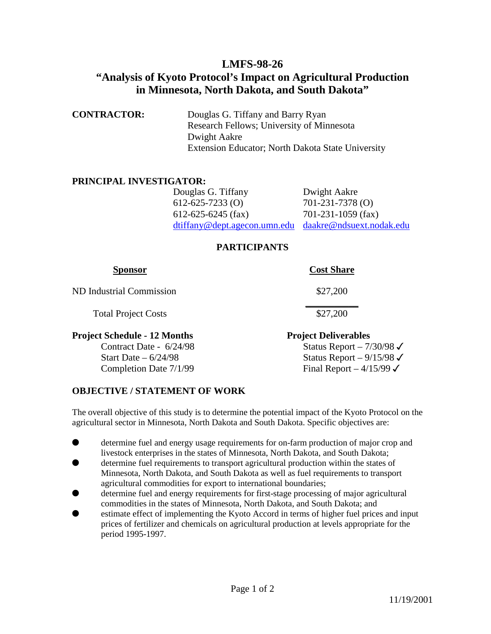# **LMFS-98-26**

# **"Analysis of Kyoto Protocol's Impact on Agricultural Production in Minnesota, North Dakota, and South Dakota"**

| <b>CONTRACTOR:</b> | Douglas G. Tiffany and Barry Ryan                 |
|--------------------|---------------------------------------------------|
|                    | Research Fellows; University of Minnesota         |
|                    | Dwight Aakre                                      |
|                    | Extension Educator; North Dakota State University |

#### **PRINCIPAL INVESTIGATOR:**

| Douglas G. Tiffany     | Dwight Aakre                                          |
|------------------------|-------------------------------------------------------|
| $612 - 625 - 7233$ (O) | $701 - 231 - 7378$ (O)                                |
| 612-625-6245 (fax)     | $701-231-1059$ (fax)                                  |
|                        | dtiffany@dept.agecon.umn.edu daakre@ndsuext.nodak.edu |

#### **PARTICIPANTS**

| <b>Sponsor</b>                                          | <b>Cost Share</b>                                                  |
|---------------------------------------------------------|--------------------------------------------------------------------|
| ND Industrial Commission                                | \$27,200                                                           |
| <b>Total Project Costs</b>                              | \$27,200                                                           |
| Project Schedule - 12 Months<br>Contract Date - 6/24/98 | <b>Project Deliverables</b><br>Status Report $-7/30/98 \checkmark$ |

Start Date –  $6/24/98$  Status Report –  $9/15/98 \checkmark$ Completion Date  $7/1/99$  Final Report –  $4/15/99 \checkmark$ 

### **OBJECTIVE / STATEMENT OF WORK**

The overall objective of this study is to determine the potential impact of the Kyoto Protocol on the agricultural sector in Minnesota, North Dakota and South Dakota. Specific objectives are:

- determine fuel and energy usage requirements for on-farm production of major crop and livestock enterprises in the states of Minnesota, North Dakota, and South Dakota;
- determine fuel requirements to transport agricultural production within the states of Minnesota, North Dakota, and South Dakota as well as fuel requirements to transport agricultural commodities for export to international boundaries;
- determine fuel and energy requirements for first-stage processing of major agricultural commodities in the states of Minnesota, North Dakota, and South Dakota; and
- estimate effect of implementing the Kyoto Accord in terms of higher fuel prices and input prices of fertilizer and chemicals on agricultural production at levels appropriate for the period 1995-1997.